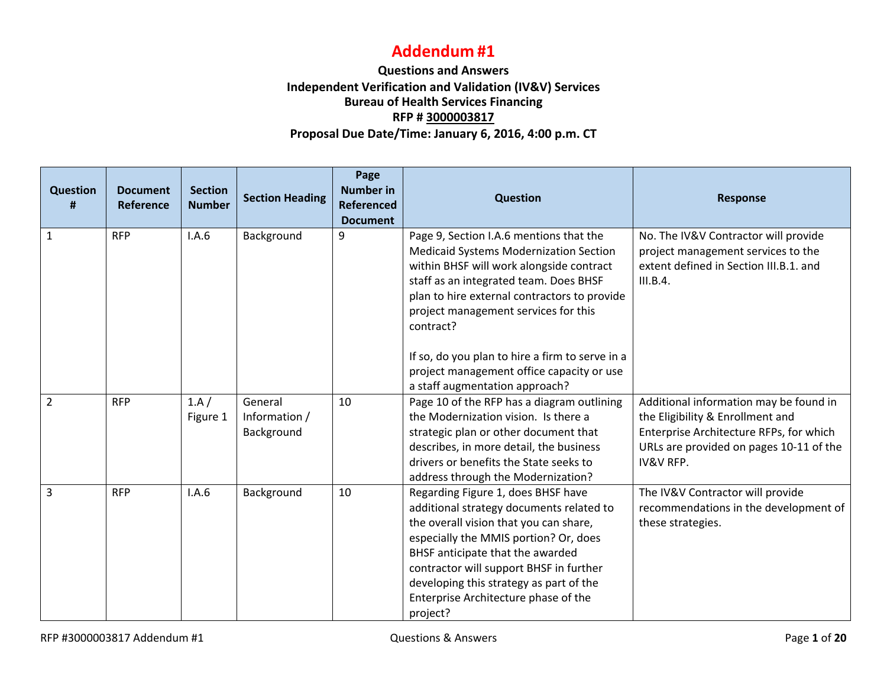## **Addendum #1**

## **Questions and Answers Independent Verification and Validation (IV&V) Services Bureau of Health Services Financing RFP # 3000003817 Proposal Due Date/Time: January 6, 2016, 4:00 p.m. CT**

| <b>Question</b><br># | <b>Document</b><br>Reference | <b>Section</b><br><b>Number</b> | <b>Section Heading</b>                 | Page<br><b>Number in</b><br><b>Referenced</b><br><b>Document</b> | <b>Question</b>                                                                                                                                                                                                                                                                                                                                                                     | <b>Response</b>                                                                                                                                                                          |
|----------------------|------------------------------|---------------------------------|----------------------------------------|------------------------------------------------------------------|-------------------------------------------------------------------------------------------------------------------------------------------------------------------------------------------------------------------------------------------------------------------------------------------------------------------------------------------------------------------------------------|------------------------------------------------------------------------------------------------------------------------------------------------------------------------------------------|
| $\mathbf{1}$         | <b>RFP</b>                   | I.A.6                           | Background                             | 9                                                                | Page 9, Section I.A.6 mentions that the<br><b>Medicaid Systems Modernization Section</b><br>within BHSF will work alongside contract<br>staff as an integrated team. Does BHSF<br>plan to hire external contractors to provide<br>project management services for this<br>contract?<br>If so, do you plan to hire a firm to serve in a<br>project management office capacity or use | No. The IV&V Contractor will provide<br>project management services to the<br>extent defined in Section III.B.1. and<br>III.B.4.                                                         |
|                      |                              |                                 |                                        |                                                                  | a staff augmentation approach?                                                                                                                                                                                                                                                                                                                                                      |                                                                                                                                                                                          |
| $\overline{2}$       | <b>RFP</b>                   | 1.A/<br>Figure 1                | General<br>Information /<br>Background | 10                                                               | Page 10 of the RFP has a diagram outlining<br>the Modernization vision. Is there a<br>strategic plan or other document that<br>describes, in more detail, the business<br>drivers or benefits the State seeks to<br>address through the Modernization?                                                                                                                              | Additional information may be found in<br>the Eligibility & Enrollment and<br>Enterprise Architecture RFPs, for which<br>URLs are provided on pages 10-11 of the<br><b>IV&amp;V RFP.</b> |
| 3                    | <b>RFP</b>                   | I.A.6                           | Background                             | 10                                                               | Regarding Figure 1, does BHSF have<br>additional strategy documents related to<br>the overall vision that you can share,<br>especially the MMIS portion? Or, does<br>BHSF anticipate that the awarded<br>contractor will support BHSF in further<br>developing this strategy as part of the<br>Enterprise Architecture phase of the<br>project?                                     | The IV&V Contractor will provide<br>recommendations in the development of<br>these strategies.                                                                                           |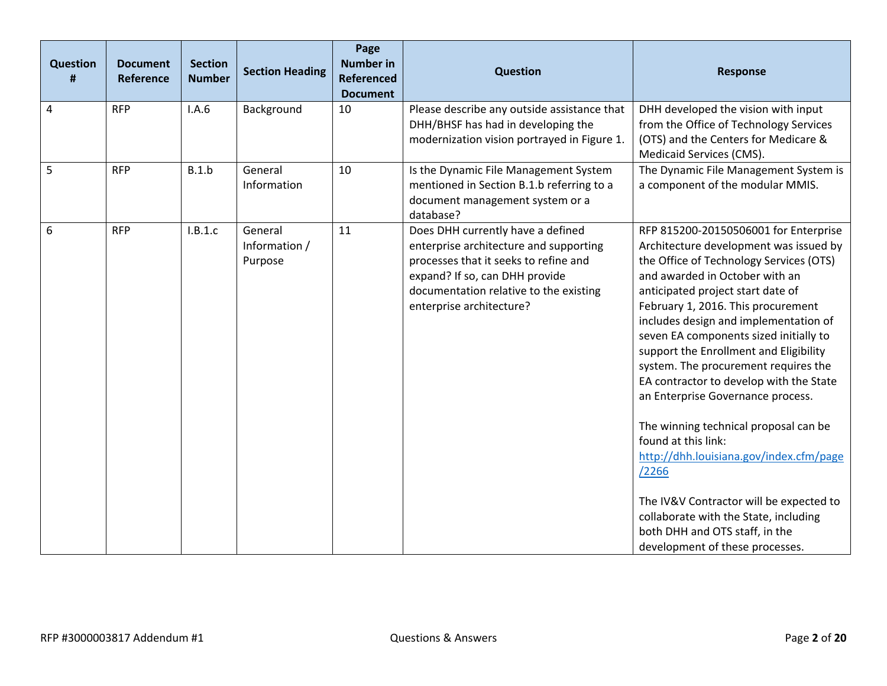| <b>Question</b><br># | <b>Document</b><br>Reference | <b>Section</b><br><b>Number</b> | <b>Section Heading</b>              | Page<br><b>Number in</b><br><b>Referenced</b><br><b>Document</b> | <b>Question</b>                                                                                                                                                                                                              | <b>Response</b>                                                                                                                                                                                                                                                                                                                                                                                                                                                                                                                                                                                                                                                                                                                                                           |
|----------------------|------------------------------|---------------------------------|-------------------------------------|------------------------------------------------------------------|------------------------------------------------------------------------------------------------------------------------------------------------------------------------------------------------------------------------------|---------------------------------------------------------------------------------------------------------------------------------------------------------------------------------------------------------------------------------------------------------------------------------------------------------------------------------------------------------------------------------------------------------------------------------------------------------------------------------------------------------------------------------------------------------------------------------------------------------------------------------------------------------------------------------------------------------------------------------------------------------------------------|
| $\overline{4}$       | <b>RFP</b>                   | I.A.6                           | Background                          | 10                                                               | Please describe any outside assistance that<br>DHH/BHSF has had in developing the<br>modernization vision portrayed in Figure 1.                                                                                             | DHH developed the vision with input<br>from the Office of Technology Services<br>(OTS) and the Centers for Medicare &<br>Medicaid Services (CMS).                                                                                                                                                                                                                                                                                                                                                                                                                                                                                                                                                                                                                         |
| 5                    | <b>RFP</b>                   | B.1.b                           | General<br>Information              | 10                                                               | Is the Dynamic File Management System<br>mentioned in Section B.1.b referring to a<br>document management system or a<br>database?                                                                                           | The Dynamic File Management System is<br>a component of the modular MMIS.                                                                                                                                                                                                                                                                                                                                                                                                                                                                                                                                                                                                                                                                                                 |
| 6                    | <b>RFP</b>                   | I.B.1.c                         | General<br>Information /<br>Purpose | 11                                                               | Does DHH currently have a defined<br>enterprise architecture and supporting<br>processes that it seeks to refine and<br>expand? If so, can DHH provide<br>documentation relative to the existing<br>enterprise architecture? | RFP 815200-20150506001 for Enterprise<br>Architecture development was issued by<br>the Office of Technology Services (OTS)<br>and awarded in October with an<br>anticipated project start date of<br>February 1, 2016. This procurement<br>includes design and implementation of<br>seven EA components sized initially to<br>support the Enrollment and Eligibility<br>system. The procurement requires the<br>EA contractor to develop with the State<br>an Enterprise Governance process.<br>The winning technical proposal can be<br>found at this link:<br>http://dhh.louisiana.gov/index.cfm/page<br>/2266<br>The IV&V Contractor will be expected to<br>collaborate with the State, including<br>both DHH and OTS staff, in the<br>development of these processes. |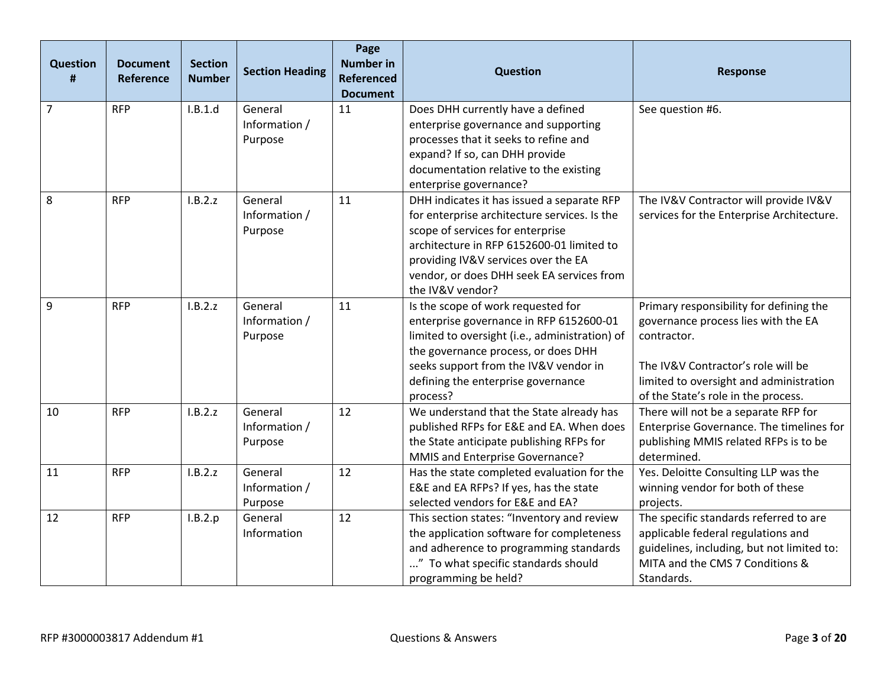| <b>Question</b><br># | <b>Document</b><br>Reference | <b>Section</b><br><b>Number</b> | <b>Section Heading</b>              | Page<br><b>Number in</b><br><b>Referenced</b><br><b>Document</b> | <b>Question</b>                                                                                                                                                                                                                                                                     | <b>Response</b>                                                                                                                                                                                                       |
|----------------------|------------------------------|---------------------------------|-------------------------------------|------------------------------------------------------------------|-------------------------------------------------------------------------------------------------------------------------------------------------------------------------------------------------------------------------------------------------------------------------------------|-----------------------------------------------------------------------------------------------------------------------------------------------------------------------------------------------------------------------|
| $\overline{7}$       | <b>RFP</b>                   | I.B.1.d                         | General<br>Information /<br>Purpose | 11                                                               | Does DHH currently have a defined<br>enterprise governance and supporting<br>processes that it seeks to refine and<br>expand? If so, can DHH provide<br>documentation relative to the existing<br>enterprise governance?                                                            | See question #6.                                                                                                                                                                                                      |
| 8                    | <b>RFP</b>                   | I.B.2.z                         | General<br>Information /<br>Purpose | 11                                                               | DHH indicates it has issued a separate RFP<br>for enterprise architecture services. Is the<br>scope of services for enterprise<br>architecture in RFP 6152600-01 limited to<br>providing IV&V services over the EA<br>vendor, or does DHH seek EA services from<br>the IV&V vendor? | The IV&V Contractor will provide IV&V<br>services for the Enterprise Architecture.                                                                                                                                    |
| 9                    | <b>RFP</b>                   | I.B.2.z                         | General<br>Information /<br>Purpose | 11                                                               | Is the scope of work requested for<br>enterprise governance in RFP 6152600-01<br>limited to oversight (i.e., administration) of<br>the governance process, or does DHH<br>seeks support from the IV&V vendor in<br>defining the enterprise governance<br>process?                   | Primary responsibility for defining the<br>governance process lies with the EA<br>contractor.<br>The IV&V Contractor's role will be<br>limited to oversight and administration<br>of the State's role in the process. |
| 10                   | <b>RFP</b>                   | I.B.2.z                         | General<br>Information /<br>Purpose | 12                                                               | We understand that the State already has<br>published RFPs for E&E and EA. When does<br>the State anticipate publishing RFPs for<br>MMIS and Enterprise Governance?                                                                                                                 | There will not be a separate RFP for<br>Enterprise Governance. The timelines for<br>publishing MMIS related RFPs is to be<br>determined.                                                                              |
| 11                   | <b>RFP</b>                   | I.B.2.z                         | General<br>Information /<br>Purpose | 12                                                               | Has the state completed evaluation for the<br>E&E and EA RFPs? If yes, has the state<br>selected vendors for E&E and EA?                                                                                                                                                            | Yes. Deloitte Consulting LLP was the<br>winning vendor for both of these<br>projects.                                                                                                                                 |
| 12                   | <b>RFP</b>                   | I.B.2.p                         | General<br>Information              | 12                                                               | This section states: "Inventory and review<br>the application software for completeness<br>and adherence to programming standards<br>" To what specific standards should<br>programming be held?                                                                                    | The specific standards referred to are<br>applicable federal regulations and<br>guidelines, including, but not limited to:<br>MITA and the CMS 7 Conditions &<br>Standards.                                           |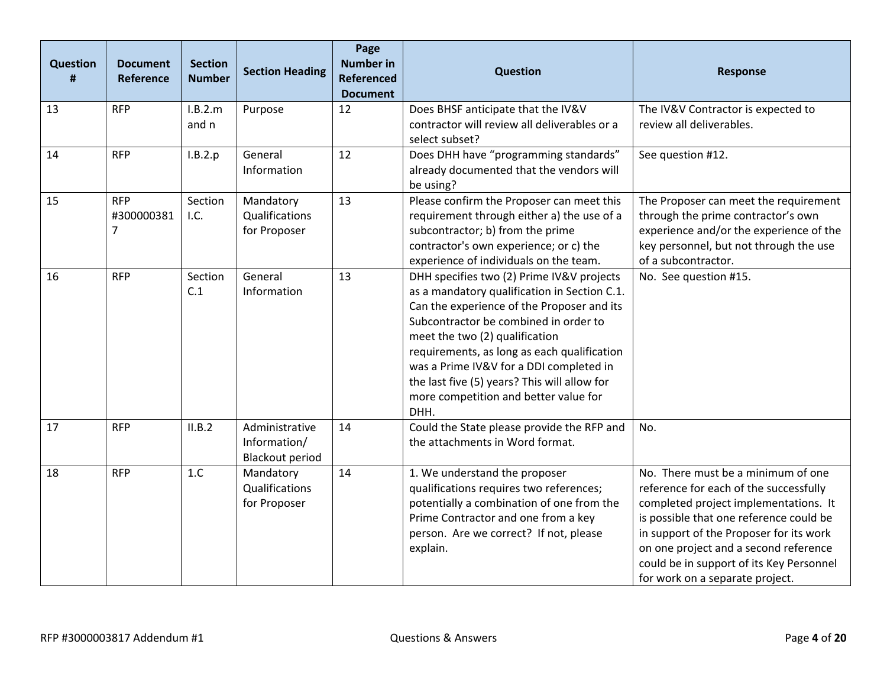| <b>Question</b> | <b>Document</b><br>Reference  | <b>Section</b><br><b>Number</b> | <b>Section Heading</b>                                   | Page<br><b>Number in</b><br><b>Referenced</b><br><b>Document</b> | <b>Question</b>                                                                                                                                                                                                                                                                                                                                                                                               | <b>Response</b>                                                                                                                                                                                                                                                                                                                     |
|-----------------|-------------------------------|---------------------------------|----------------------------------------------------------|------------------------------------------------------------------|---------------------------------------------------------------------------------------------------------------------------------------------------------------------------------------------------------------------------------------------------------------------------------------------------------------------------------------------------------------------------------------------------------------|-------------------------------------------------------------------------------------------------------------------------------------------------------------------------------------------------------------------------------------------------------------------------------------------------------------------------------------|
| 13              | <b>RFP</b>                    | I.B.2.m<br>and n                | Purpose                                                  | 12                                                               | Does BHSF anticipate that the IV&V<br>contractor will review all deliverables or a<br>select subset?                                                                                                                                                                                                                                                                                                          | The IV&V Contractor is expected to<br>review all deliverables.                                                                                                                                                                                                                                                                      |
| 14              | <b>RFP</b>                    | I.B.2.p                         | General<br>Information                                   | 12                                                               | Does DHH have "programming standards"<br>already documented that the vendors will<br>be using?                                                                                                                                                                                                                                                                                                                | See question #12.                                                                                                                                                                                                                                                                                                                   |
| 15              | <b>RFP</b><br>#300000381<br>7 | Section<br>I.C.                 | Mandatory<br>Qualifications<br>for Proposer              | 13                                                               | Please confirm the Proposer can meet this<br>requirement through either a) the use of a<br>subcontractor; b) from the prime<br>contractor's own experience; or c) the<br>experience of individuals on the team.                                                                                                                                                                                               | The Proposer can meet the requirement<br>through the prime contractor's own<br>experience and/or the experience of the<br>key personnel, but not through the use<br>of a subcontractor.                                                                                                                                             |
| 16              | <b>RFP</b>                    | Section<br>C.1                  | General<br>Information                                   | 13                                                               | DHH specifies two (2) Prime IV&V projects<br>as a mandatory qualification in Section C.1.<br>Can the experience of the Proposer and its<br>Subcontractor be combined in order to<br>meet the two (2) qualification<br>requirements, as long as each qualification<br>was a Prime IV&V for a DDI completed in<br>the last five (5) years? This will allow for<br>more competition and better value for<br>DHH. | No. See question #15.                                                                                                                                                                                                                                                                                                               |
| 17              | <b>RFP</b>                    | II.B.2                          | Administrative<br>Information/<br><b>Blackout period</b> | 14                                                               | Could the State please provide the RFP and<br>the attachments in Word format.                                                                                                                                                                                                                                                                                                                                 | No.                                                                                                                                                                                                                                                                                                                                 |
| 18              | <b>RFP</b>                    | 1.C                             | Mandatory<br>Qualifications<br>for Proposer              | 14                                                               | 1. We understand the proposer<br>qualifications requires two references;<br>potentially a combination of one from the<br>Prime Contractor and one from a key<br>person. Are we correct? If not, please<br>explain.                                                                                                                                                                                            | No. There must be a minimum of one<br>reference for each of the successfully<br>completed project implementations. It<br>is possible that one reference could be<br>in support of the Proposer for its work<br>on one project and a second reference<br>could be in support of its Key Personnel<br>for work on a separate project. |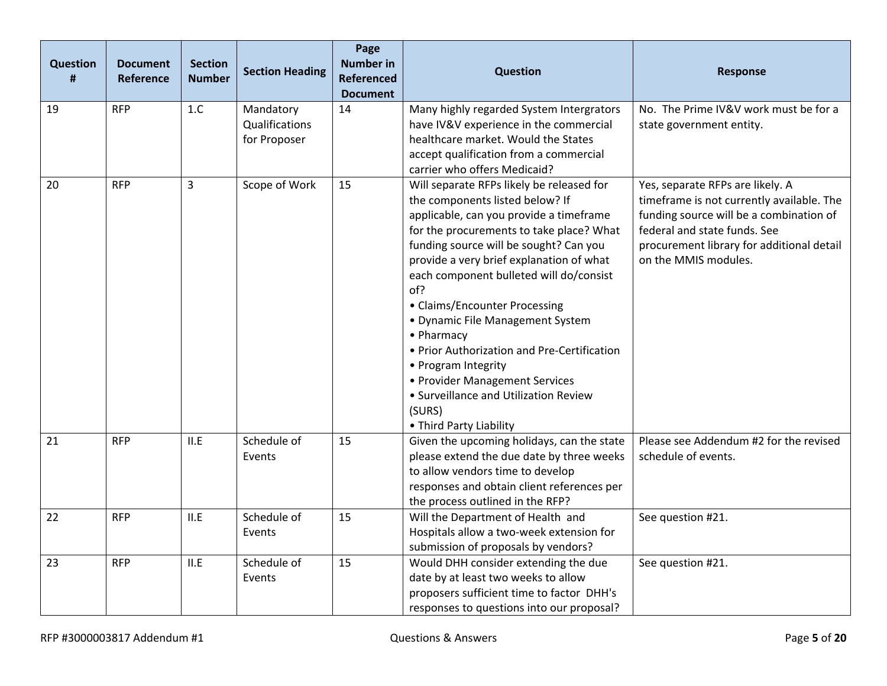| <b>Question</b><br># | <b>Document</b><br><b>Reference</b> | <b>Section</b><br><b>Number</b> | <b>Section Heading</b>                      | Page<br><b>Number in</b><br><b>Referenced</b><br><b>Document</b> | Question                                                                                                                                                                                                                                                                                                                                                                                                                                                                                                                                                                             | <b>Response</b>                                                                                                                                                                                                               |
|----------------------|-------------------------------------|---------------------------------|---------------------------------------------|------------------------------------------------------------------|--------------------------------------------------------------------------------------------------------------------------------------------------------------------------------------------------------------------------------------------------------------------------------------------------------------------------------------------------------------------------------------------------------------------------------------------------------------------------------------------------------------------------------------------------------------------------------------|-------------------------------------------------------------------------------------------------------------------------------------------------------------------------------------------------------------------------------|
| 19                   | <b>RFP</b>                          | 1.C                             | Mandatory<br>Qualifications<br>for Proposer | 14                                                               | Many highly regarded System Intergrators<br>have IV&V experience in the commercial<br>healthcare market. Would the States<br>accept qualification from a commercial<br>carrier who offers Medicaid?                                                                                                                                                                                                                                                                                                                                                                                  | No. The Prime IV&V work must be for a<br>state government entity.                                                                                                                                                             |
| 20                   | <b>RFP</b>                          | $\overline{3}$                  | Scope of Work                               | 15                                                               | Will separate RFPs likely be released for<br>the components listed below? If<br>applicable, can you provide a timeframe<br>for the procurements to take place? What<br>funding source will be sought? Can you<br>provide a very brief explanation of what<br>each component bulleted will do/consist<br>of?<br>• Claims/Encounter Processing<br>· Dynamic File Management System<br>• Pharmacy<br>• Prior Authorization and Pre-Certification<br>• Program Integrity<br>• Provider Management Services<br>• Surveillance and Utilization Review<br>(SURS)<br>• Third Party Liability | Yes, separate RFPs are likely. A<br>timeframe is not currently available. The<br>funding source will be a combination of<br>federal and state funds. See<br>procurement library for additional detail<br>on the MMIS modules. |
| 21                   | <b>RFP</b>                          | II.E                            | Schedule of<br>Events                       | 15                                                               | Given the upcoming holidays, can the state<br>please extend the due date by three weeks<br>to allow vendors time to develop<br>responses and obtain client references per<br>the process outlined in the RFP?                                                                                                                                                                                                                                                                                                                                                                        | Please see Addendum #2 for the revised<br>schedule of events.                                                                                                                                                                 |
| 22                   | <b>RFP</b>                          | II.E                            | Schedule of<br>Events                       | 15                                                               | Will the Department of Health and<br>Hospitals allow a two-week extension for<br>submission of proposals by vendors?                                                                                                                                                                                                                                                                                                                                                                                                                                                                 | See question #21.                                                                                                                                                                                                             |
| 23                   | <b>RFP</b>                          | II.E                            | Schedule of<br>Events                       | 15                                                               | Would DHH consider extending the due<br>date by at least two weeks to allow<br>proposers sufficient time to factor DHH's<br>responses to questions into our proposal?                                                                                                                                                                                                                                                                                                                                                                                                                | See question #21.                                                                                                                                                                                                             |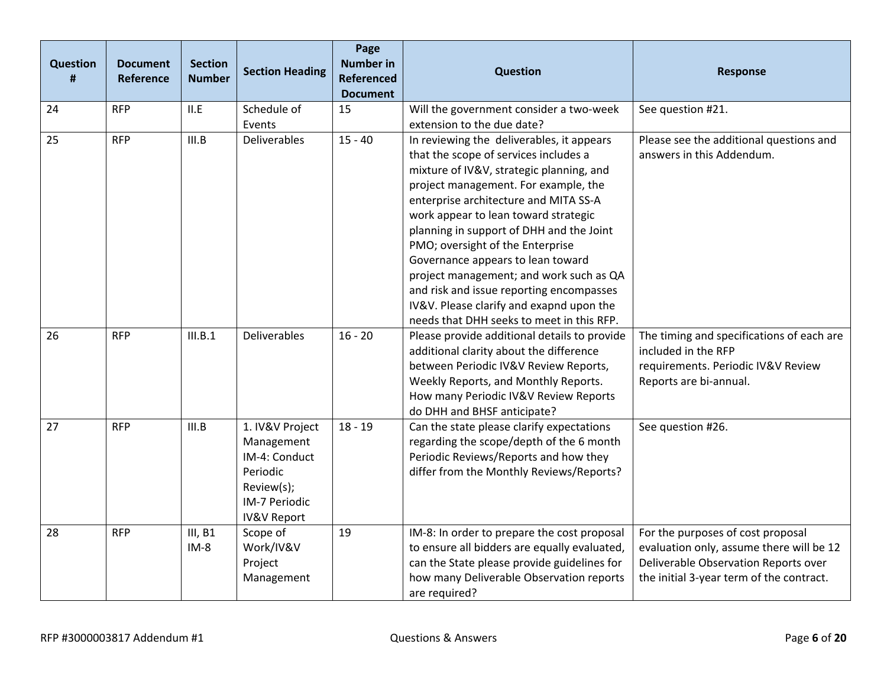| <b>Question</b><br># | <b>Document</b><br>Reference | <b>Section</b><br><b>Number</b> | <b>Section Heading</b>                                                                                              | Page<br><b>Number in</b><br><b>Referenced</b><br><b>Document</b> | <b>Question</b>                                                                                                                                                                                                                                                                                                                                                                                                                                                                                                                                              | <b>Response</b>                                                                                                                                                   |
|----------------------|------------------------------|---------------------------------|---------------------------------------------------------------------------------------------------------------------|------------------------------------------------------------------|--------------------------------------------------------------------------------------------------------------------------------------------------------------------------------------------------------------------------------------------------------------------------------------------------------------------------------------------------------------------------------------------------------------------------------------------------------------------------------------------------------------------------------------------------------------|-------------------------------------------------------------------------------------------------------------------------------------------------------------------|
| 24                   | <b>RFP</b>                   | II.E                            | Schedule of<br>Events                                                                                               | 15                                                               | Will the government consider a two-week<br>extension to the due date?                                                                                                                                                                                                                                                                                                                                                                                                                                                                                        | See question #21.                                                                                                                                                 |
| 25                   | <b>RFP</b>                   | III.B                           | Deliverables                                                                                                        | $15 - 40$                                                        | In reviewing the deliverables, it appears<br>that the scope of services includes a<br>mixture of IV&V, strategic planning, and<br>project management. For example, the<br>enterprise architecture and MITA SS-A<br>work appear to lean toward strategic<br>planning in support of DHH and the Joint<br>PMO; oversight of the Enterprise<br>Governance appears to lean toward<br>project management; and work such as QA<br>and risk and issue reporting encompasses<br>IV&V. Please clarify and exapnd upon the<br>needs that DHH seeks to meet in this RFP. | Please see the additional questions and<br>answers in this Addendum.                                                                                              |
| 26                   | <b>RFP</b>                   | III.B.1                         | Deliverables                                                                                                        | $16 - 20$                                                        | Please provide additional details to provide<br>additional clarity about the difference<br>between Periodic IV&V Review Reports,<br>Weekly Reports, and Monthly Reports.<br>How many Periodic IV&V Review Reports<br>do DHH and BHSF anticipate?                                                                                                                                                                                                                                                                                                             | The timing and specifications of each are<br>included in the RFP<br>requirements. Periodic IV&V Review<br>Reports are bi-annual.                                  |
| 27                   | <b>RFP</b>                   | III.B                           | 1. IV&V Project<br>Management<br>IM-4: Conduct<br>Periodic<br>Review(s);<br>IM-7 Periodic<br><b>IV&amp;V Report</b> | $18 - 19$                                                        | Can the state please clarify expectations<br>regarding the scope/depth of the 6 month<br>Periodic Reviews/Reports and how they<br>differ from the Monthly Reviews/Reports?                                                                                                                                                                                                                                                                                                                                                                                   | See question #26.                                                                                                                                                 |
| 28                   | <b>RFP</b>                   | III, B1<br>$IM-8$               | Scope of<br>Work/IV&V<br>Project<br>Management                                                                      | 19                                                               | IM-8: In order to prepare the cost proposal<br>to ensure all bidders are equally evaluated,<br>can the State please provide guidelines for<br>how many Deliverable Observation reports<br>are required?                                                                                                                                                                                                                                                                                                                                                      | For the purposes of cost proposal<br>evaluation only, assume there will be 12<br>Deliverable Observation Reports over<br>the initial 3-year term of the contract. |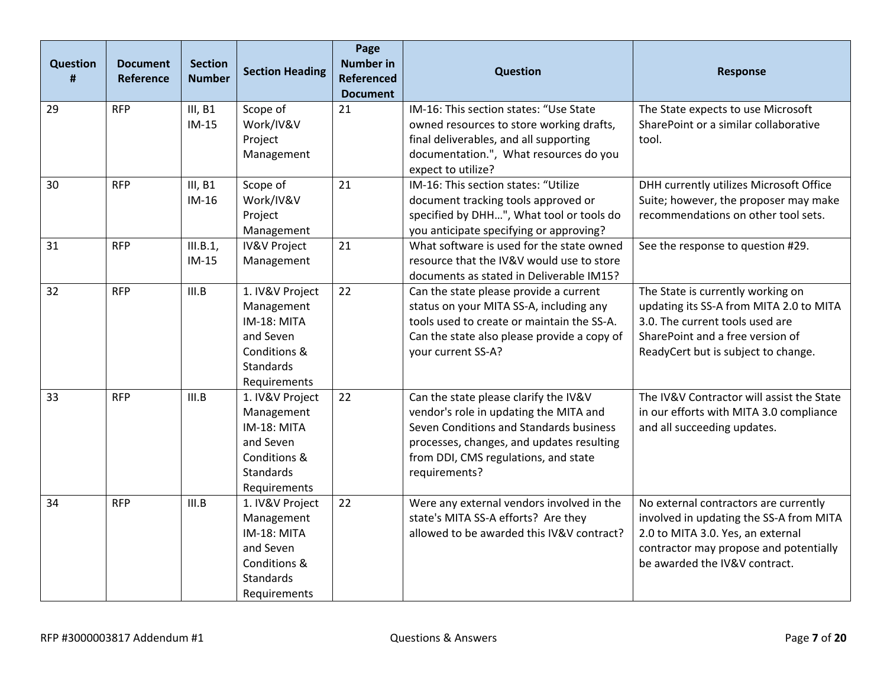| <b>Question</b><br>Ħ | <b>Document</b><br><b>Reference</b> | <b>Section</b><br><b>Number</b> | <b>Section Heading</b>                                                                                 | Page<br><b>Number in</b><br><b>Referenced</b><br><b>Document</b> | <b>Question</b>                                                                                                                                                                                                                  | <b>Response</b>                                                                                                                                                                                  |
|----------------------|-------------------------------------|---------------------------------|--------------------------------------------------------------------------------------------------------|------------------------------------------------------------------|----------------------------------------------------------------------------------------------------------------------------------------------------------------------------------------------------------------------------------|--------------------------------------------------------------------------------------------------------------------------------------------------------------------------------------------------|
| 29                   | <b>RFP</b>                          | III, B1<br>$IM-15$              | Scope of<br>Work/IV&V<br>Project<br>Management                                                         | 21                                                               | IM-16: This section states: "Use State<br>owned resources to store working drafts,<br>final deliverables, and all supporting<br>documentation.", What resources do you<br>expect to utilize?                                     | The State expects to use Microsoft<br>SharePoint or a similar collaborative<br>tool.                                                                                                             |
| 30                   | <b>RFP</b>                          | III, B1<br>$IM-16$              | Scope of<br>Work/IV&V<br>Project<br>Management                                                         | 21                                                               | IM-16: This section states: "Utilize<br>document tracking tools approved or<br>specified by DHH", What tool or tools do<br>you anticipate specifying or approving?                                                               | DHH currently utilizes Microsoft Office<br>Suite; however, the proposer may make<br>recommendations on other tool sets.                                                                          |
| 31                   | <b>RFP</b>                          | III.B.1,<br>$IM-15$             | <b>IV&amp;V Project</b><br>Management                                                                  | 21                                                               | What software is used for the state owned<br>resource that the IV&V would use to store<br>documents as stated in Deliverable IM15?                                                                                               | See the response to question #29.                                                                                                                                                                |
| 32                   | <b>RFP</b>                          | III.B                           | 1. IV&V Project<br>Management<br>IM-18: MITA<br>and Seven<br>Conditions &<br>Standards<br>Requirements | 22                                                               | Can the state please provide a current<br>status on your MITA SS-A, including any<br>tools used to create or maintain the SS-A.<br>Can the state also please provide a copy of<br>your current SS-A?                             | The State is currently working on<br>updating its SS-A from MITA 2.0 to MITA<br>3.0. The current tools used are<br>SharePoint and a free version of<br>ReadyCert but is subject to change.       |
| 33                   | <b>RFP</b>                          | III.B                           | 1. IV&V Project<br>Management<br>IM-18: MITA<br>and Seven<br>Conditions &<br>Standards<br>Requirements | 22                                                               | Can the state please clarify the IV&V<br>vendor's role in updating the MITA and<br>Seven Conditions and Standards business<br>processes, changes, and updates resulting<br>from DDI, CMS regulations, and state<br>requirements? | The IV&V Contractor will assist the State<br>in our efforts with MITA 3.0 compliance<br>and all succeeding updates.                                                                              |
| 34                   | <b>RFP</b>                          | III.B                           | 1. IV&V Project<br>Management<br>IM-18: MITA<br>and Seven<br>Conditions &<br>Standards<br>Requirements | 22                                                               | Were any external vendors involved in the<br>state's MITA SS-A efforts? Are they<br>allowed to be awarded this IV&V contract?                                                                                                    | No external contractors are currently<br>involved in updating the SS-A from MITA<br>2.0 to MITA 3.0. Yes, an external<br>contractor may propose and potentially<br>be awarded the IV&V contract. |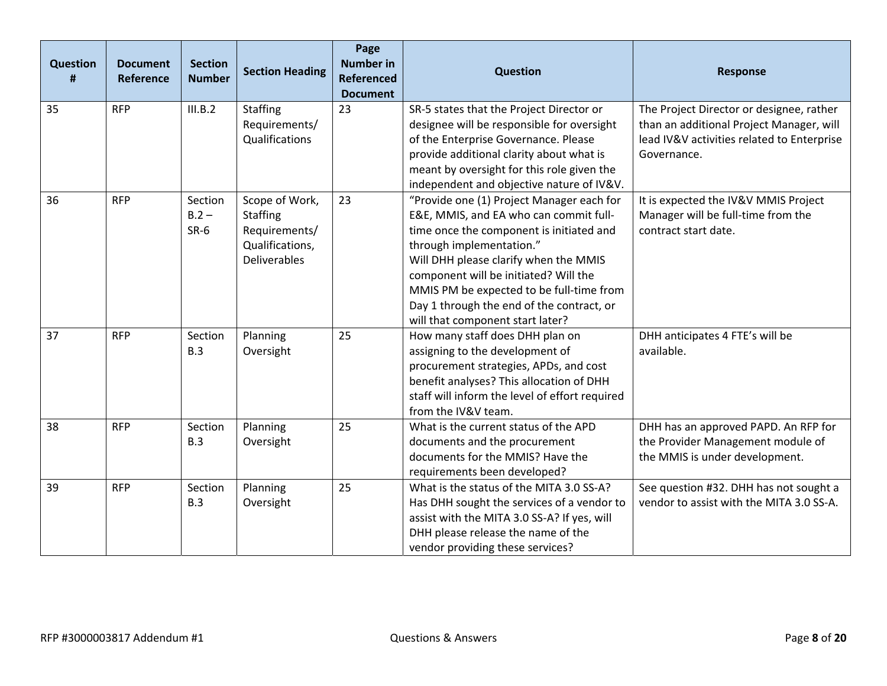| <b>Question</b><br># | <b>Document</b><br>Reference | <b>Section</b><br><b>Number</b> | <b>Section Heading</b>                                                                       | Page<br><b>Number in</b><br><b>Referenced</b><br><b>Document</b> | <b>Question</b>                                                                                                                                                                                                                                                                                                                                                                                                         | <b>Response</b>                                                                                                                                   |
|----------------------|------------------------------|---------------------------------|----------------------------------------------------------------------------------------------|------------------------------------------------------------------|-------------------------------------------------------------------------------------------------------------------------------------------------------------------------------------------------------------------------------------------------------------------------------------------------------------------------------------------------------------------------------------------------------------------------|---------------------------------------------------------------------------------------------------------------------------------------------------|
| 35                   | <b>RFP</b>                   | III.B.2                         | <b>Staffing</b><br>Requirements/<br>Qualifications                                           | 23                                                               | SR-5 states that the Project Director or<br>designee will be responsible for oversight<br>of the Enterprise Governance. Please<br>provide additional clarity about what is<br>meant by oversight for this role given the                                                                                                                                                                                                | The Project Director or designee, rather<br>than an additional Project Manager, will<br>lead IV&V activities related to Enterprise<br>Governance. |
| 36                   | <b>RFP</b>                   | Section<br>$B.2 -$<br>$SR-6$    | Scope of Work,<br><b>Staffing</b><br>Requirements/<br>Qualifications,<br><b>Deliverables</b> | 23                                                               | independent and objective nature of IV&V.<br>"Provide one (1) Project Manager each for<br>E&E, MMIS, and EA who can commit full-<br>time once the component is initiated and<br>through implementation."<br>Will DHH please clarify when the MMIS<br>component will be initiated? Will the<br>MMIS PM be expected to be full-time from<br>Day 1 through the end of the contract, or<br>will that component start later? | It is expected the IV&V MMIS Project<br>Manager will be full-time from the<br>contract start date.                                                |
| 37                   | <b>RFP</b>                   | Section<br>B.3                  | Planning<br>Oversight                                                                        | 25                                                               | How many staff does DHH plan on<br>assigning to the development of<br>procurement strategies, APDs, and cost<br>benefit analyses? This allocation of DHH<br>staff will inform the level of effort required<br>from the IV&V team.                                                                                                                                                                                       | DHH anticipates 4 FTE's will be<br>available.                                                                                                     |
| 38                   | <b>RFP</b>                   | Section<br>B.3                  | Planning<br>Oversight                                                                        | 25                                                               | What is the current status of the APD<br>documents and the procurement<br>documents for the MMIS? Have the<br>requirements been developed?                                                                                                                                                                                                                                                                              | DHH has an approved PAPD. An RFP for<br>the Provider Management module of<br>the MMIS is under development.                                       |
| 39                   | <b>RFP</b>                   | Section<br>B.3                  | Planning<br>Oversight                                                                        | 25                                                               | What is the status of the MITA 3.0 SS-A?<br>Has DHH sought the services of a vendor to<br>assist with the MITA 3.0 SS-A? If yes, will<br>DHH please release the name of the<br>vendor providing these services?                                                                                                                                                                                                         | See question #32. DHH has not sought a<br>vendor to assist with the MITA 3.0 SS-A.                                                                |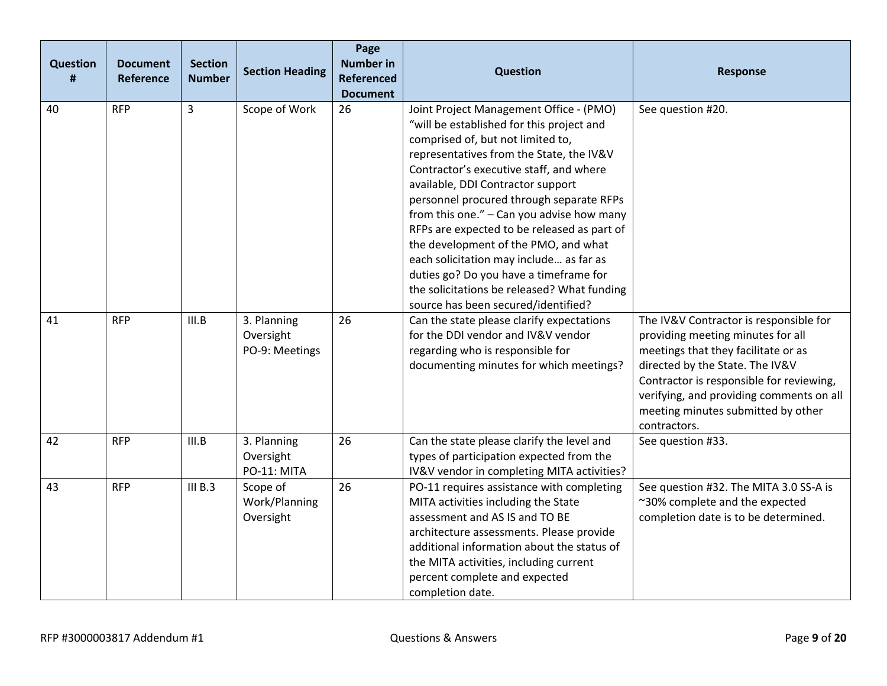| <b>Question</b><br># | <b>Document</b><br><b>Reference</b> | <b>Section</b><br><b>Number</b> | <b>Section Heading</b>                     | Page<br><b>Number in</b><br><b>Referenced</b><br><b>Document</b> | <b>Question</b>                                                                                                                                                                                                                                                                                                                                                                                                                                                                                                                                                                                                  | <b>Response</b>                                                                                                                                                                                                                                                                                     |
|----------------------|-------------------------------------|---------------------------------|--------------------------------------------|------------------------------------------------------------------|------------------------------------------------------------------------------------------------------------------------------------------------------------------------------------------------------------------------------------------------------------------------------------------------------------------------------------------------------------------------------------------------------------------------------------------------------------------------------------------------------------------------------------------------------------------------------------------------------------------|-----------------------------------------------------------------------------------------------------------------------------------------------------------------------------------------------------------------------------------------------------------------------------------------------------|
| 40                   | <b>RFP</b>                          | 3                               | Scope of Work                              | 26                                                               | Joint Project Management Office - (PMO)<br>"will be established for this project and<br>comprised of, but not limited to,<br>representatives from the State, the IV&V<br>Contractor's executive staff, and where<br>available, DDI Contractor support<br>personnel procured through separate RFPs<br>from this one." - Can you advise how many<br>RFPs are expected to be released as part of<br>the development of the PMO, and what<br>each solicitation may include as far as<br>duties go? Do you have a timeframe for<br>the solicitations be released? What funding<br>source has been secured/identified? | See question #20.                                                                                                                                                                                                                                                                                   |
| 41                   | <b>RFP</b>                          | III.B                           | 3. Planning<br>Oversight<br>PO-9: Meetings | 26                                                               | Can the state please clarify expectations<br>for the DDI vendor and IV&V vendor<br>regarding who is responsible for<br>documenting minutes for which meetings?                                                                                                                                                                                                                                                                                                                                                                                                                                                   | The IV&V Contractor is responsible for<br>providing meeting minutes for all<br>meetings that they facilitate or as<br>directed by the State. The IV&V<br>Contractor is responsible for reviewing,<br>verifying, and providing comments on all<br>meeting minutes submitted by other<br>contractors. |
| 42                   | <b>RFP</b>                          | III.B                           | 3. Planning<br>Oversight<br>PO-11: MITA    | 26                                                               | Can the state please clarify the level and<br>types of participation expected from the<br>IV&V vendor in completing MITA activities?                                                                                                                                                                                                                                                                                                                                                                                                                                                                             | See question #33.                                                                                                                                                                                                                                                                                   |
| 43                   | <b>RFP</b>                          | III B.3                         | Scope of<br>Work/Planning<br>Oversight     | 26                                                               | PO-11 requires assistance with completing<br>MITA activities including the State<br>assessment and AS IS and TO BE<br>architecture assessments. Please provide<br>additional information about the status of<br>the MITA activities, including current<br>percent complete and expected<br>completion date.                                                                                                                                                                                                                                                                                                      | See question #32. The MITA 3.0 SS-A is<br>~30% complete and the expected<br>completion date is to be determined.                                                                                                                                                                                    |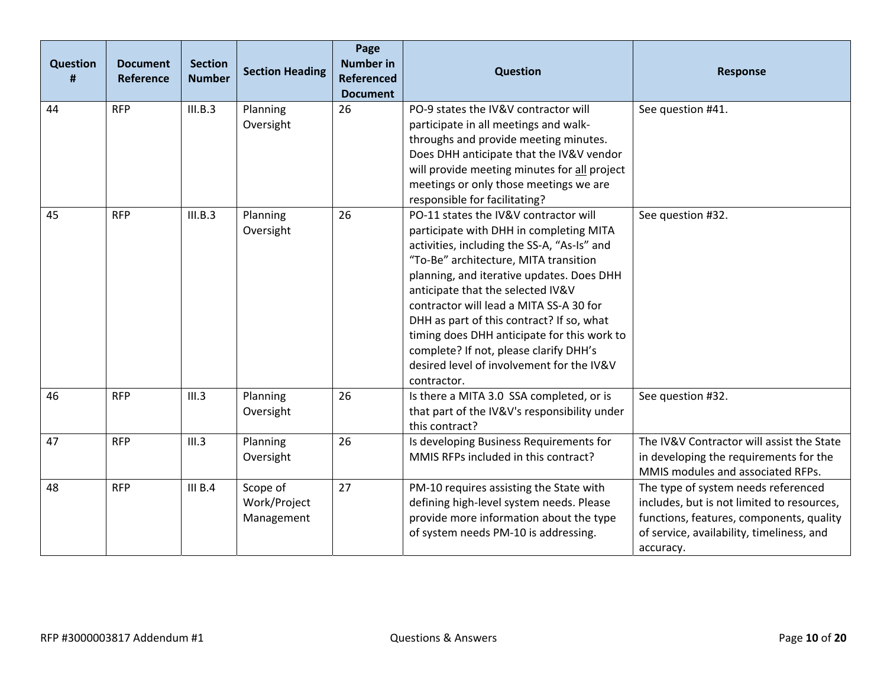| <b>Question</b><br># | <b>Document</b><br>Reference | <b>Section</b><br><b>Number</b> | <b>Section Heading</b>                 | Page<br><b>Number in</b><br><b>Referenced</b><br><b>Document</b> | <b>Question</b>                                                                                                                                                                                                                                                                                                                                                                                                                                                                                         | <b>Response</b>                                                                                                                                                                         |
|----------------------|------------------------------|---------------------------------|----------------------------------------|------------------------------------------------------------------|---------------------------------------------------------------------------------------------------------------------------------------------------------------------------------------------------------------------------------------------------------------------------------------------------------------------------------------------------------------------------------------------------------------------------------------------------------------------------------------------------------|-----------------------------------------------------------------------------------------------------------------------------------------------------------------------------------------|
| 44                   | <b>RFP</b>                   | III.B.3                         | Planning<br>Oversight                  | 26                                                               | PO-9 states the IV&V contractor will<br>participate in all meetings and walk-<br>throughs and provide meeting minutes.<br>Does DHH anticipate that the IV&V vendor<br>will provide meeting minutes for all project<br>meetings or only those meetings we are<br>responsible for facilitating?                                                                                                                                                                                                           | See question #41.                                                                                                                                                                       |
| 45                   | <b>RFP</b>                   | III.B.3                         | Planning<br>Oversight                  | 26                                                               | PO-11 states the IV&V contractor will<br>participate with DHH in completing MITA<br>activities, including the SS-A, "As-Is" and<br>"To-Be" architecture, MITA transition<br>planning, and iterative updates. Does DHH<br>anticipate that the selected IV&V<br>contractor will lead a MITA SS-A 30 for<br>DHH as part of this contract? If so, what<br>timing does DHH anticipate for this work to<br>complete? If not, please clarify DHH's<br>desired level of involvement for the IV&V<br>contractor. | See question #32.                                                                                                                                                                       |
| 46                   | <b>RFP</b>                   | III.3                           | Planning<br>Oversight                  | 26                                                               | Is there a MITA 3.0 SSA completed, or is<br>that part of the IV&V's responsibility under<br>this contract?                                                                                                                                                                                                                                                                                                                                                                                              | See question #32.                                                                                                                                                                       |
| 47                   | <b>RFP</b>                   | III.3                           | Planning<br>Oversight                  | 26                                                               | Is developing Business Requirements for<br>MMIS RFPs included in this contract?                                                                                                                                                                                                                                                                                                                                                                                                                         | The IV&V Contractor will assist the State<br>in developing the requirements for the<br>MMIS modules and associated RFPs.                                                                |
| 48                   | <b>RFP</b>                   | III B.4                         | Scope of<br>Work/Project<br>Management | 27                                                               | PM-10 requires assisting the State with<br>defining high-level system needs. Please<br>provide more information about the type<br>of system needs PM-10 is addressing.                                                                                                                                                                                                                                                                                                                                  | The type of system needs referenced<br>includes, but is not limited to resources,<br>functions, features, components, quality<br>of service, availability, timeliness, and<br>accuracy. |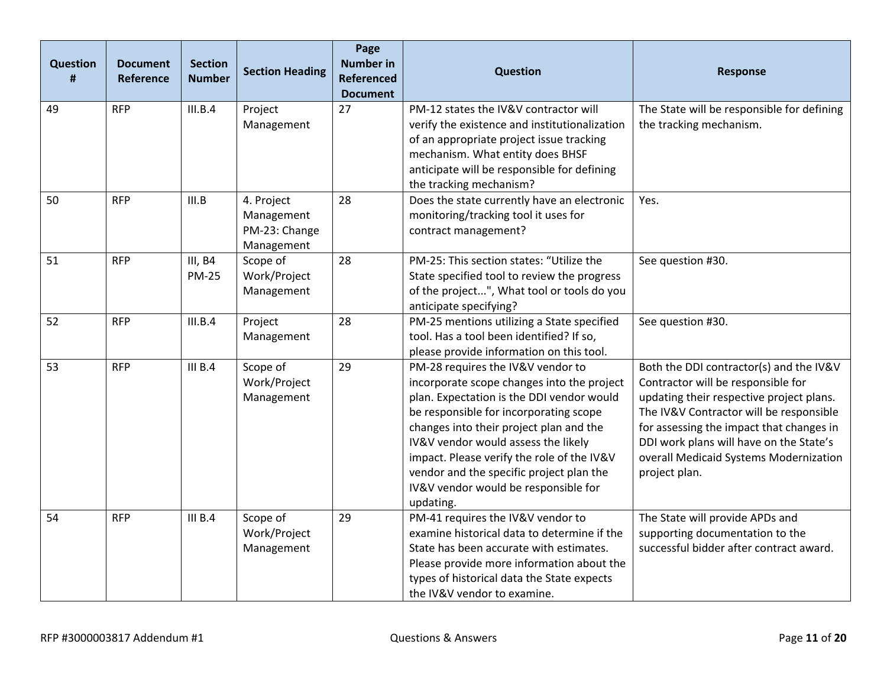| <b>Question</b><br># | <b>Document</b><br>Reference | <b>Section</b><br><b>Number</b> | <b>Section Heading</b>                                  | Page<br><b>Number in</b><br><b>Referenced</b><br><b>Document</b> | <b>Question</b>                                                                                                                                                                                                                                                                                                                                                                                         | <b>Response</b>                                                                                                                                                                                                                                                                                                        |
|----------------------|------------------------------|---------------------------------|---------------------------------------------------------|------------------------------------------------------------------|---------------------------------------------------------------------------------------------------------------------------------------------------------------------------------------------------------------------------------------------------------------------------------------------------------------------------------------------------------------------------------------------------------|------------------------------------------------------------------------------------------------------------------------------------------------------------------------------------------------------------------------------------------------------------------------------------------------------------------------|
| 49                   | <b>RFP</b>                   | III.B.4                         | Project<br>Management                                   | 27                                                               | PM-12 states the IV&V contractor will<br>verify the existence and institutionalization<br>of an appropriate project issue tracking<br>mechanism. What entity does BHSF<br>anticipate will be responsible for defining<br>the tracking mechanism?                                                                                                                                                        | The State will be responsible for defining<br>the tracking mechanism.                                                                                                                                                                                                                                                  |
| 50                   | <b>RFP</b>                   | III.B                           | 4. Project<br>Management<br>PM-23: Change<br>Management | 28                                                               | Does the state currently have an electronic<br>monitoring/tracking tool it uses for<br>contract management?                                                                                                                                                                                                                                                                                             | Yes.                                                                                                                                                                                                                                                                                                                   |
| 51                   | <b>RFP</b>                   | III, B4<br><b>PM-25</b>         | Scope of<br>Work/Project<br>Management                  | 28                                                               | PM-25: This section states: "Utilize the<br>State specified tool to review the progress<br>of the project", What tool or tools do you<br>anticipate specifying?                                                                                                                                                                                                                                         | See question #30.                                                                                                                                                                                                                                                                                                      |
| 52                   | <b>RFP</b>                   | III.B.4                         | Project<br>Management                                   | 28                                                               | PM-25 mentions utilizing a State specified<br>tool. Has a tool been identified? If so,<br>please provide information on this tool.                                                                                                                                                                                                                                                                      | See question #30.                                                                                                                                                                                                                                                                                                      |
| 53                   | <b>RFP</b>                   | III B.4                         | Scope of<br>Work/Project<br>Management                  | 29                                                               | PM-28 requires the IV&V vendor to<br>incorporate scope changes into the project<br>plan. Expectation is the DDI vendor would<br>be responsible for incorporating scope<br>changes into their project plan and the<br>IV&V vendor would assess the likely<br>impact. Please verify the role of the IV&V<br>vendor and the specific project plan the<br>IV&V vendor would be responsible for<br>updating. | Both the DDI contractor(s) and the IV&V<br>Contractor will be responsible for<br>updating their respective project plans.<br>The IV&V Contractor will be responsible<br>for assessing the impact that changes in<br>DDI work plans will have on the State's<br>overall Medicaid Systems Modernization<br>project plan. |
| 54                   | <b>RFP</b>                   | III B.4                         | Scope of<br>Work/Project<br>Management                  | 29                                                               | PM-41 requires the IV&V vendor to<br>examine historical data to determine if the<br>State has been accurate with estimates.<br>Please provide more information about the<br>types of historical data the State expects<br>the IV&V vendor to examine.                                                                                                                                                   | The State will provide APDs and<br>supporting documentation to the<br>successful bidder after contract award.                                                                                                                                                                                                          |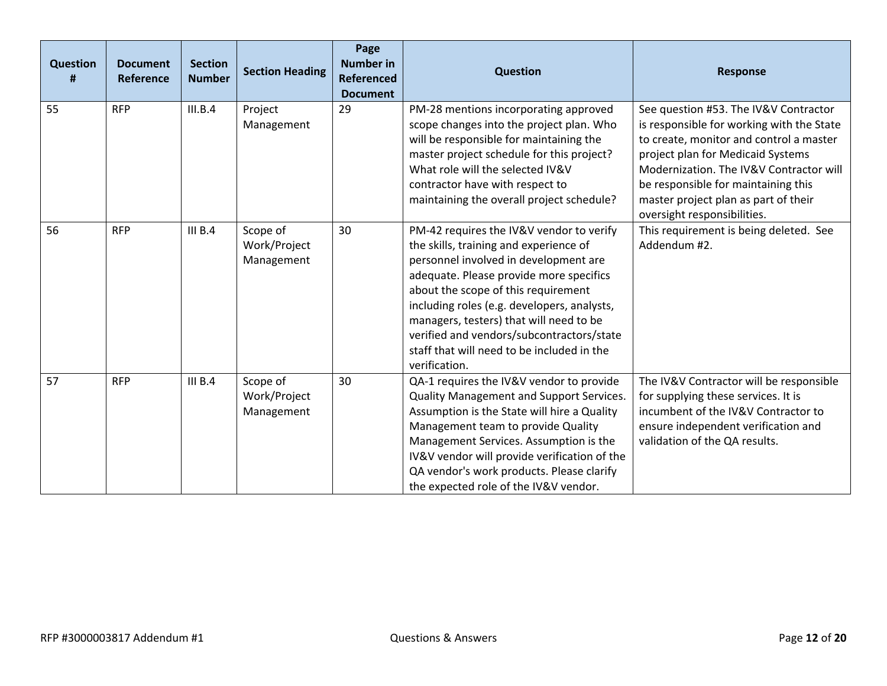| <b>Question</b><br># | <b>Document</b><br>Reference | <b>Section</b><br><b>Number</b> | <b>Section Heading</b>                 | Page<br><b>Number in</b><br><b>Referenced</b><br><b>Document</b> | <b>Question</b>                                                                                                                                                                                                                                                                                                                                                                                                     | <b>Response</b>                                                                                                                                                                                                                                                                                                             |
|----------------------|------------------------------|---------------------------------|----------------------------------------|------------------------------------------------------------------|---------------------------------------------------------------------------------------------------------------------------------------------------------------------------------------------------------------------------------------------------------------------------------------------------------------------------------------------------------------------------------------------------------------------|-----------------------------------------------------------------------------------------------------------------------------------------------------------------------------------------------------------------------------------------------------------------------------------------------------------------------------|
| 55                   | <b>RFP</b>                   | III.B.4                         | Project<br>Management                  | 29                                                               | PM-28 mentions incorporating approved<br>scope changes into the project plan. Who<br>will be responsible for maintaining the<br>master project schedule for this project?<br>What role will the selected IV&V<br>contractor have with respect to<br>maintaining the overall project schedule?                                                                                                                       | See question #53. The IV&V Contractor<br>is responsible for working with the State<br>to create, monitor and control a master<br>project plan for Medicaid Systems<br>Modernization. The IV&V Contractor will<br>be responsible for maintaining this<br>master project plan as part of their<br>oversight responsibilities. |
| 56                   | <b>RFP</b>                   | III B.4                         | Scope of<br>Work/Project<br>Management | 30                                                               | PM-42 requires the IV&V vendor to verify<br>the skills, training and experience of<br>personnel involved in development are<br>adequate. Please provide more specifics<br>about the scope of this requirement<br>including roles (e.g. developers, analysts,<br>managers, testers) that will need to be<br>verified and vendors/subcontractors/state<br>staff that will need to be included in the<br>verification. | This requirement is being deleted. See<br>Addendum #2.                                                                                                                                                                                                                                                                      |
| 57                   | <b>RFP</b>                   | III B.4                         | Scope of<br>Work/Project<br>Management | 30                                                               | QA-1 requires the IV&V vendor to provide<br>Quality Management and Support Services.<br>Assumption is the State will hire a Quality<br>Management team to provide Quality<br>Management Services. Assumption is the<br>IV&V vendor will provide verification of the<br>QA vendor's work products. Please clarify<br>the expected role of the IV&V vendor.                                                           | The IV&V Contractor will be responsible<br>for supplying these services. It is<br>incumbent of the IV&V Contractor to<br>ensure independent verification and<br>validation of the QA results.                                                                                                                               |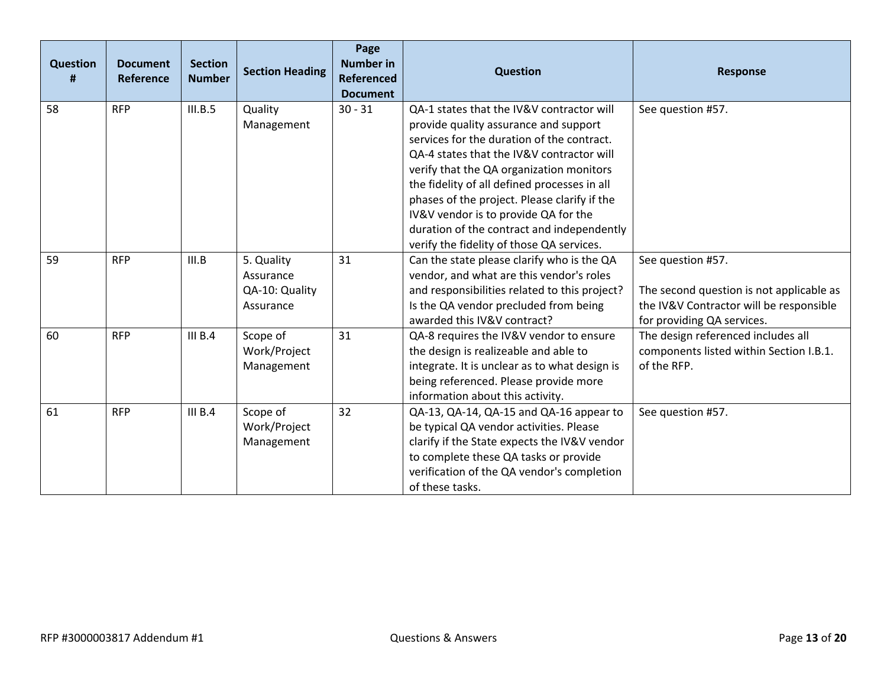| <b>Question</b><br># | <b>Document</b><br>Reference | <b>Section</b><br><b>Number</b> | <b>Section Heading</b>                                 | Page<br><b>Number in</b><br><b>Referenced</b><br><b>Document</b> | <b>Question</b>                                                                                                                                                                                                                                                                                                                                                                                                                                              | <b>Response</b>                                                                                                                        |
|----------------------|------------------------------|---------------------------------|--------------------------------------------------------|------------------------------------------------------------------|--------------------------------------------------------------------------------------------------------------------------------------------------------------------------------------------------------------------------------------------------------------------------------------------------------------------------------------------------------------------------------------------------------------------------------------------------------------|----------------------------------------------------------------------------------------------------------------------------------------|
| 58                   | <b>RFP</b>                   | III.B.5                         | Quality<br>Management                                  | $30 - 31$                                                        | QA-1 states that the IV&V contractor will<br>provide quality assurance and support<br>services for the duration of the contract.<br>QA-4 states that the IV&V contractor will<br>verify that the QA organization monitors<br>the fidelity of all defined processes in all<br>phases of the project. Please clarify if the<br>IV&V vendor is to provide QA for the<br>duration of the contract and independently<br>verify the fidelity of those QA services. | See question #57.                                                                                                                      |
| 59                   | <b>RFP</b>                   | III.B                           | 5. Quality<br>Assurance<br>QA-10: Quality<br>Assurance | 31                                                               | Can the state please clarify who is the QA<br>vendor, and what are this vendor's roles<br>and responsibilities related to this project?<br>Is the QA vendor precluded from being<br>awarded this IV&V contract?                                                                                                                                                                                                                                              | See question #57.<br>The second question is not applicable as<br>the IV&V Contractor will be responsible<br>for providing QA services. |
| 60                   | <b>RFP</b>                   | III B.4                         | Scope of<br>Work/Project<br>Management                 | 31                                                               | QA-8 requires the IV&V vendor to ensure<br>the design is realizeable and able to<br>integrate. It is unclear as to what design is<br>being referenced. Please provide more<br>information about this activity.                                                                                                                                                                                                                                               | The design referenced includes all<br>components listed within Section I.B.1.<br>of the RFP.                                           |
| 61                   | <b>RFP</b>                   | III B.4                         | Scope of<br>Work/Project<br>Management                 | 32                                                               | QA-13, QA-14, QA-15 and QA-16 appear to<br>be typical QA vendor activities. Please<br>clarify if the State expects the IV&V vendor<br>to complete these QA tasks or provide<br>verification of the QA vendor's completion<br>of these tasks.                                                                                                                                                                                                                 | See question #57.                                                                                                                      |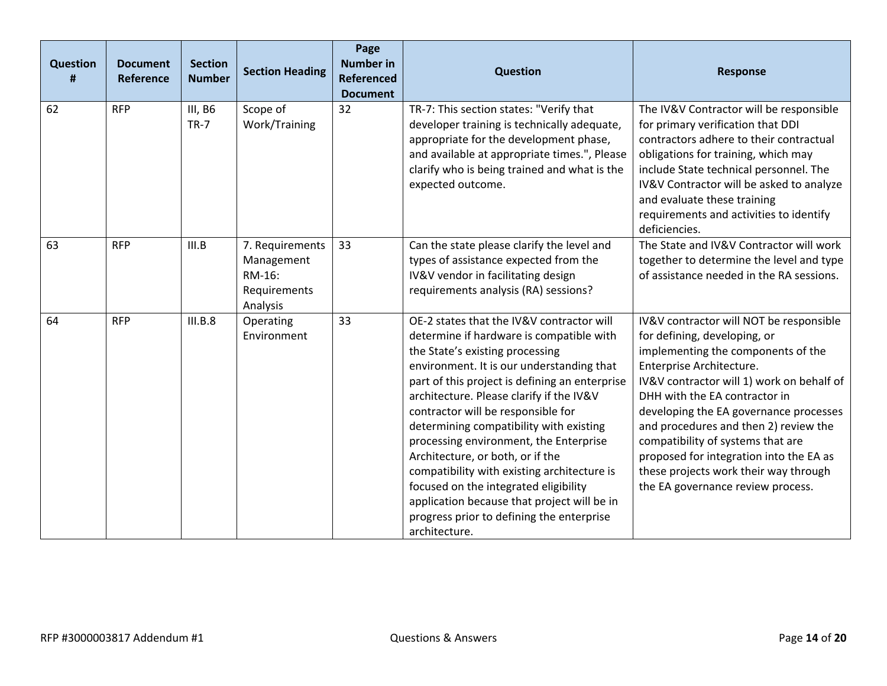| <b>Question</b><br># | <b>Document</b><br><b>Reference</b> | <b>Section</b><br><b>Number</b> | <b>Section Heading</b>                                              | Page<br><b>Number in</b><br><b>Referenced</b><br><b>Document</b> | <b>Question</b>                                                                                                                                                                                                                                                                                                                                                                                                                                                                                                                                                                                                                         | <b>Response</b>                                                                                                                                                                                                                                                                                                                                                                                                                                                          |
|----------------------|-------------------------------------|---------------------------------|---------------------------------------------------------------------|------------------------------------------------------------------|-----------------------------------------------------------------------------------------------------------------------------------------------------------------------------------------------------------------------------------------------------------------------------------------------------------------------------------------------------------------------------------------------------------------------------------------------------------------------------------------------------------------------------------------------------------------------------------------------------------------------------------------|--------------------------------------------------------------------------------------------------------------------------------------------------------------------------------------------------------------------------------------------------------------------------------------------------------------------------------------------------------------------------------------------------------------------------------------------------------------------------|
| 62                   | <b>RFP</b>                          | III, B6<br>$TR-7$               | Scope of<br>Work/Training                                           | 32                                                               | TR-7: This section states: "Verify that<br>developer training is technically adequate,<br>appropriate for the development phase,<br>and available at appropriate times.", Please<br>clarify who is being trained and what is the<br>expected outcome.                                                                                                                                                                                                                                                                                                                                                                                   | The IV&V Contractor will be responsible<br>for primary verification that DDI<br>contractors adhere to their contractual<br>obligations for training, which may<br>include State technical personnel. The<br>IV&V Contractor will be asked to analyze<br>and evaluate these training<br>requirements and activities to identify<br>deficiencies.                                                                                                                          |
| 63                   | <b>RFP</b>                          | III.B                           | 7. Requirements<br>Management<br>RM-16:<br>Requirements<br>Analysis | 33                                                               | Can the state please clarify the level and<br>types of assistance expected from the<br>IV&V vendor in facilitating design<br>requirements analysis (RA) sessions?                                                                                                                                                                                                                                                                                                                                                                                                                                                                       | The State and IV&V Contractor will work<br>together to determine the level and type<br>of assistance needed in the RA sessions.                                                                                                                                                                                                                                                                                                                                          |
| 64                   | <b>RFP</b>                          | III.B.8                         | Operating<br>Environment                                            | 33                                                               | OE-2 states that the IV&V contractor will<br>determine if hardware is compatible with<br>the State's existing processing<br>environment. It is our understanding that<br>part of this project is defining an enterprise<br>architecture. Please clarify if the IV&V<br>contractor will be responsible for<br>determining compatibility with existing<br>processing environment, the Enterprise<br>Architecture, or both, or if the<br>compatibility with existing architecture is<br>focused on the integrated eligibility<br>application because that project will be in<br>progress prior to defining the enterprise<br>architecture. | IV&V contractor will NOT be responsible<br>for defining, developing, or<br>implementing the components of the<br>Enterprise Architecture.<br>IV&V contractor will 1) work on behalf of<br>DHH with the EA contractor in<br>developing the EA governance processes<br>and procedures and then 2) review the<br>compatibility of systems that are<br>proposed for integration into the EA as<br>these projects work their way through<br>the EA governance review process. |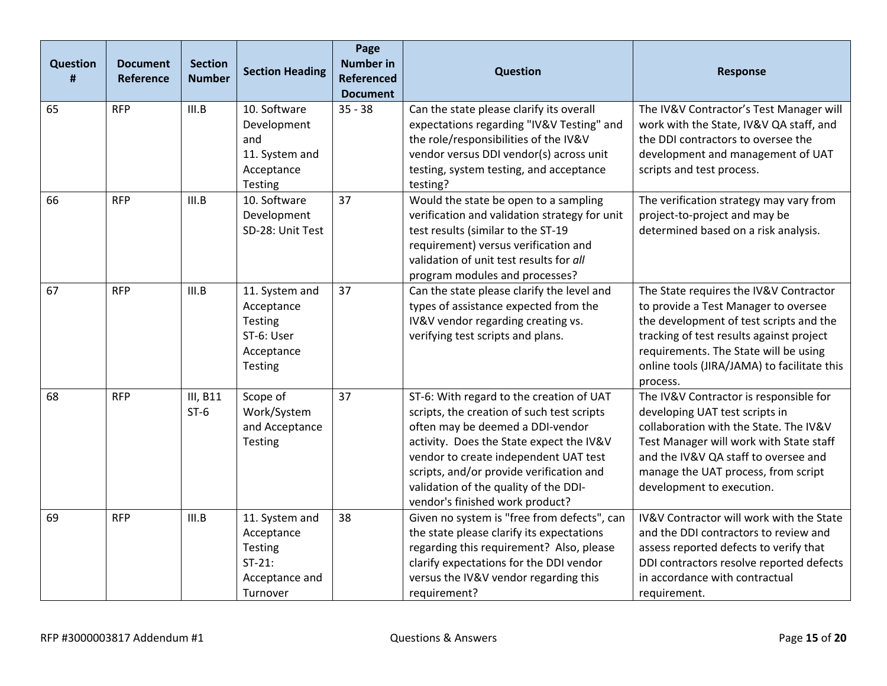| <b>Question</b><br># | <b>Document</b><br>Reference | <b>Section</b><br><b>Number</b> | <b>Section Heading</b>                                                             | Page<br><b>Number in</b><br><b>Referenced</b><br><b>Document</b> | <b>Question</b>                                                                                                                                                                                                                                                                                                                         | <b>Response</b>                                                                                                                                                                                                                                                           |
|----------------------|------------------------------|---------------------------------|------------------------------------------------------------------------------------|------------------------------------------------------------------|-----------------------------------------------------------------------------------------------------------------------------------------------------------------------------------------------------------------------------------------------------------------------------------------------------------------------------------------|---------------------------------------------------------------------------------------------------------------------------------------------------------------------------------------------------------------------------------------------------------------------------|
| 65                   | <b>RFP</b>                   | III.B                           | 10. Software<br>Development<br>and<br>11. System and<br>Acceptance<br>Testing      | $35 - 38$                                                        | Can the state please clarify its overall<br>expectations regarding "IV&V Testing" and<br>the role/responsibilities of the IV&V<br>vendor versus DDI vendor(s) across unit<br>testing, system testing, and acceptance<br>testing?                                                                                                        | The IV&V Contractor's Test Manager will<br>work with the State, IV&V QA staff, and<br>the DDI contractors to oversee the<br>development and management of UAT<br>scripts and test process.                                                                                |
| 66                   | <b>RFP</b>                   | III.B                           | 10. Software<br>Development<br>SD-28: Unit Test                                    | 37                                                               | Would the state be open to a sampling<br>verification and validation strategy for unit<br>test results (similar to the ST-19<br>requirement) versus verification and<br>validation of unit test results for all<br>program modules and processes?                                                                                       | The verification strategy may vary from<br>project-to-project and may be<br>determined based on a risk analysis.                                                                                                                                                          |
| 67                   | <b>RFP</b>                   | III.B                           | 11. System and<br>Acceptance<br>Testing<br>ST-6: User<br>Acceptance<br>Testing     | 37                                                               | Can the state please clarify the level and<br>types of assistance expected from the<br>IV&V vendor regarding creating vs.<br>verifying test scripts and plans.                                                                                                                                                                          | The State requires the IV&V Contractor<br>to provide a Test Manager to oversee<br>the development of test scripts and the<br>tracking of test results against project<br>requirements. The State will be using<br>online tools (JIRA/JAMA) to facilitate this<br>process. |
| 68                   | <b>RFP</b>                   | III, B11<br>$ST-6$              | Scope of<br>Work/System<br>and Acceptance<br>Testing                               | 37                                                               | ST-6: With regard to the creation of UAT<br>scripts, the creation of such test scripts<br>often may be deemed a DDI-vendor<br>activity. Does the State expect the IV&V<br>vendor to create independent UAT test<br>scripts, and/or provide verification and<br>validation of the quality of the DDI-<br>vendor's finished work product? | The IV&V Contractor is responsible for<br>developing UAT test scripts in<br>collaboration with the State. The IV&V<br>Test Manager will work with State staff<br>and the IV&V QA staff to oversee and<br>manage the UAT process, from script<br>development to execution. |
| 69                   | <b>RFP</b>                   | III.B                           | 11. System and<br>Acceptance<br>Testing<br>$ST-21$ :<br>Acceptance and<br>Turnover | 38                                                               | Given no system is "free from defects", can<br>the state please clarify its expectations<br>regarding this requirement? Also, please<br>clarify expectations for the DDI vendor<br>versus the IV&V vendor regarding this<br>requirement?                                                                                                | IV&V Contractor will work with the State<br>and the DDI contractors to review and<br>assess reported defects to verify that<br>DDI contractors resolve reported defects<br>in accordance with contractual<br>requirement.                                                 |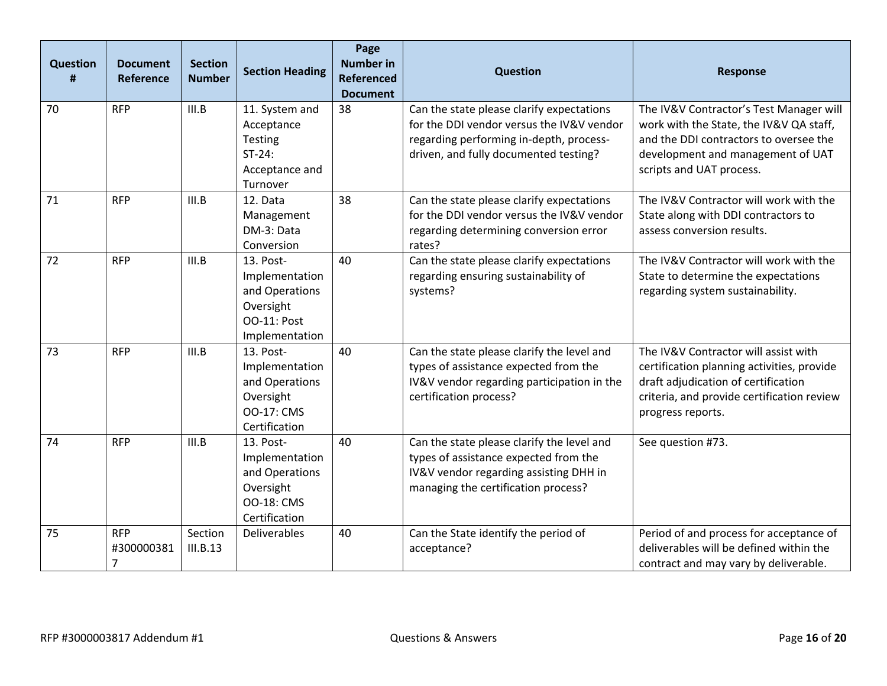| <b>Question</b><br># | <b>Document</b><br>Reference               | <b>Section</b><br><b>Number</b> | <b>Section Heading</b>                                                                             | Page<br><b>Number in</b><br><b>Referenced</b><br><b>Document</b> | <b>Question</b>                                                                                                                                                            | <b>Response</b>                                                                                                                                                                               |
|----------------------|--------------------------------------------|---------------------------------|----------------------------------------------------------------------------------------------------|------------------------------------------------------------------|----------------------------------------------------------------------------------------------------------------------------------------------------------------------------|-----------------------------------------------------------------------------------------------------------------------------------------------------------------------------------------------|
| 70                   | <b>RFP</b>                                 | III.B                           | 11. System and<br>Acceptance<br>Testing<br>$ST-24$ :<br>Acceptance and<br>Turnover                 | 38                                                               | Can the state please clarify expectations<br>for the DDI vendor versus the IV&V vendor<br>regarding performing in-depth, process-<br>driven, and fully documented testing? | The IV&V Contractor's Test Manager will<br>work with the State, the IV&V QA staff,<br>and the DDI contractors to oversee the<br>development and management of UAT<br>scripts and UAT process. |
| 71                   | <b>RFP</b>                                 | III.B                           | 12. Data<br>Management<br>DM-3: Data<br>Conversion                                                 | 38                                                               | Can the state please clarify expectations<br>for the DDI vendor versus the IV&V vendor<br>regarding determining conversion error<br>rates?                                 | The IV&V Contractor will work with the<br>State along with DDI contractors to<br>assess conversion results.                                                                                   |
| 72                   | <b>RFP</b>                                 | III.B                           | 13. Post-<br>Implementation<br>and Operations<br>Oversight<br><b>OO-11: Post</b><br>Implementation | 40                                                               | Can the state please clarify expectations<br>regarding ensuring sustainability of<br>systems?                                                                              | The IV&V Contractor will work with the<br>State to determine the expectations<br>regarding system sustainability.                                                                             |
| 73                   | <b>RFP</b>                                 | III.B                           | 13. Post-<br>Implementation<br>and Operations<br>Oversight<br><b>OO-17: CMS</b><br>Certification   | 40                                                               | Can the state please clarify the level and<br>types of assistance expected from the<br>IV&V vendor regarding participation in the<br>certification process?                | The IV&V Contractor will assist with<br>certification planning activities, provide<br>draft adjudication of certification<br>criteria, and provide certification review<br>progress reports.  |
| 74                   | <b>RFP</b>                                 | III.B                           | 13. Post-<br>Implementation<br>and Operations<br>Oversight<br><b>OO-18: CMS</b><br>Certification   | 40                                                               | Can the state please clarify the level and<br>types of assistance expected from the<br>IV&V vendor regarding assisting DHH in<br>managing the certification process?       | See question #73.                                                                                                                                                                             |
| 75                   | <b>RFP</b><br>#300000381<br>$\overline{7}$ | Section<br>III.B.13             | Deliverables                                                                                       | 40                                                               | Can the State identify the period of<br>acceptance?                                                                                                                        | Period of and process for acceptance of<br>deliverables will be defined within the<br>contract and may vary by deliverable.                                                                   |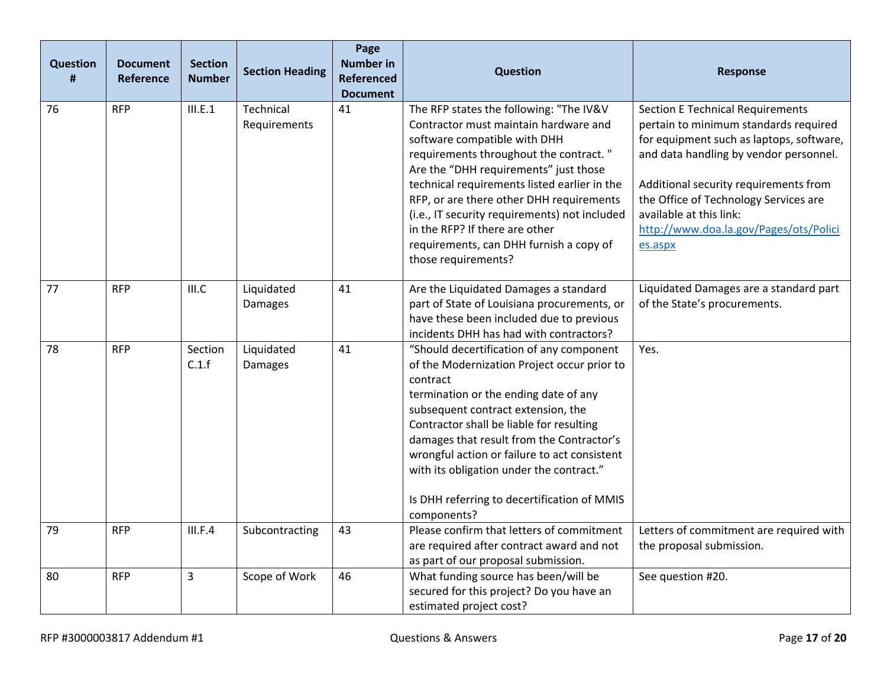| <b>Question</b><br># | <b>Document</b><br>Reference | <b>Section</b><br><b>Number</b> | <b>Section Heading</b>       | Page<br><b>Number in</b><br><b>Referenced</b><br><b>Document</b> | <b>Question</b>                                                                                                                                                                                                                                                                                                                                                                                                                       | <b>Response</b>                                                                                                                                                                                                                                                                                                                          |
|----------------------|------------------------------|---------------------------------|------------------------------|------------------------------------------------------------------|---------------------------------------------------------------------------------------------------------------------------------------------------------------------------------------------------------------------------------------------------------------------------------------------------------------------------------------------------------------------------------------------------------------------------------------|------------------------------------------------------------------------------------------------------------------------------------------------------------------------------------------------------------------------------------------------------------------------------------------------------------------------------------------|
| 76                   | <b>RFP</b>                   | III.E.1                         | Technical<br>Requirements    | 41                                                               | The RFP states the following: "The IV&V<br>Contractor must maintain hardware and<br>software compatible with DHH<br>requirements throughout the contract."<br>Are the "DHH requirements" just those<br>technical requirements listed earlier in the<br>RFP, or are there other DHH requirements<br>(i.e., IT security requirements) not included<br>in the RFP? If there are other<br>requirements, can DHH furnish a copy of         | <b>Section E Technical Requirements</b><br>pertain to minimum standards required<br>for equipment such as laptops, software,<br>and data handling by vendor personnel.<br>Additional security requirements from<br>the Office of Technology Services are<br>available at this link:<br>http://www.doa.la.gov/Pages/ots/Polici<br>es.aspx |
| 77                   | <b>RFP</b>                   | III.C                           | Liquidated<br><b>Damages</b> | 41                                                               | those requirements?<br>Are the Liquidated Damages a standard<br>part of State of Louisiana procurements, or<br>have these been included due to previous<br>incidents DHH has had with contractors?                                                                                                                                                                                                                                    | Liquidated Damages are a standard part<br>of the State's procurements.                                                                                                                                                                                                                                                                   |
| 78                   | <b>RFP</b>                   | Section<br>C.1.f                | Liquidated<br><b>Damages</b> | 41                                                               | "Should decertification of any component<br>of the Modernization Project occur prior to<br>contract<br>termination or the ending date of any<br>subsequent contract extension, the<br>Contractor shall be liable for resulting<br>damages that result from the Contractor's<br>wrongful action or failure to act consistent<br>with its obligation under the contract."<br>Is DHH referring to decertification of MMIS<br>components? | Yes.                                                                                                                                                                                                                                                                                                                                     |
| 79                   | <b>RFP</b>                   | III.F.4                         | Subcontracting               | 43                                                               | Please confirm that letters of commitment<br>are required after contract award and not<br>as part of our proposal submission.                                                                                                                                                                                                                                                                                                         | Letters of commitment are required with<br>the proposal submission.                                                                                                                                                                                                                                                                      |
| 80                   | <b>RFP</b>                   | 3                               | Scope of Work                | 46                                                               | What funding source has been/will be<br>secured for this project? Do you have an<br>estimated project cost?                                                                                                                                                                                                                                                                                                                           | See question #20.                                                                                                                                                                                                                                                                                                                        |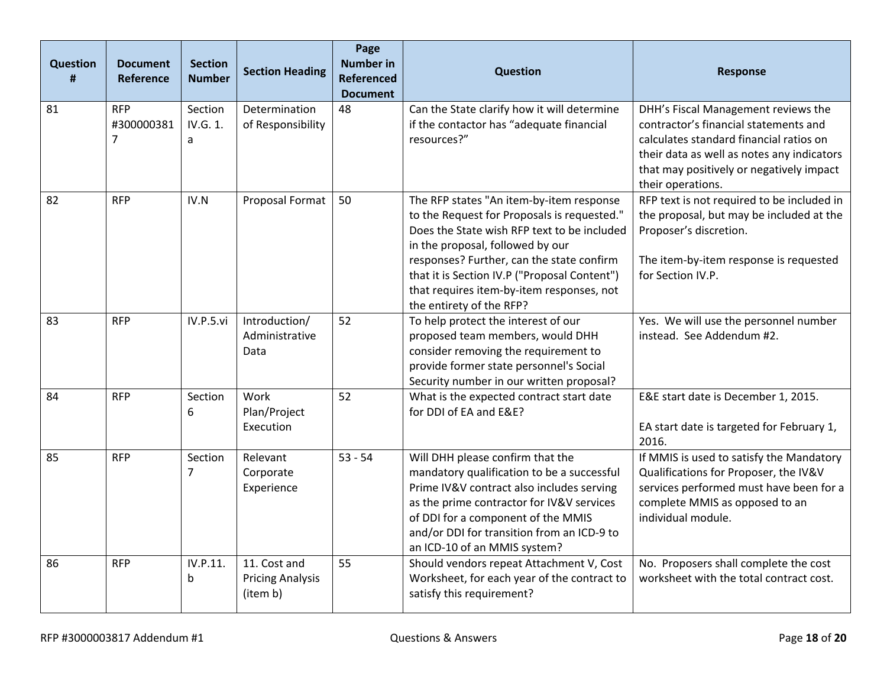| <b>Question</b><br># | <b>Document</b><br><b>Reference</b>        | <b>Section</b><br><b>Number</b> | <b>Section Heading</b>                              | Page<br><b>Number in</b><br><b>Referenced</b><br><b>Document</b> | <b>Question</b>                                                                                                                                                                                                                                                                                                                                  | <b>Response</b>                                                                                                                                                                                                                        |
|----------------------|--------------------------------------------|---------------------------------|-----------------------------------------------------|------------------------------------------------------------------|--------------------------------------------------------------------------------------------------------------------------------------------------------------------------------------------------------------------------------------------------------------------------------------------------------------------------------------------------|----------------------------------------------------------------------------------------------------------------------------------------------------------------------------------------------------------------------------------------|
| 81                   | <b>RFP</b><br>#300000381<br>$\overline{7}$ | Section<br>IV.G. 1.<br>a        | Determination<br>of Responsibility                  | 48                                                               | Can the State clarify how it will determine<br>if the contactor has "adequate financial<br>resources?"                                                                                                                                                                                                                                           | DHH's Fiscal Management reviews the<br>contractor's financial statements and<br>calculates standard financial ratios on<br>their data as well as notes any indicators<br>that may positively or negatively impact<br>their operations. |
| 82                   | <b>RFP</b>                                 | IV.N                            | Proposal Format                                     | 50                                                               | The RFP states "An item-by-item response<br>to the Request for Proposals is requested."<br>Does the State wish RFP text to be included<br>in the proposal, followed by our<br>responses? Further, can the state confirm<br>that it is Section IV.P ("Proposal Content")<br>that requires item-by-item responses, not<br>the entirety of the RFP? | RFP text is not required to be included in<br>the proposal, but may be included at the<br>Proposer's discretion.<br>The item-by-item response is requested<br>for Section IV.P.                                                        |
| 83                   | <b>RFP</b>                                 | IV.P.5.vi                       | Introduction/<br>Administrative<br>Data             | 52                                                               | To help protect the interest of our<br>proposed team members, would DHH<br>consider removing the requirement to<br>provide former state personnel's Social<br>Security number in our written proposal?                                                                                                                                           | Yes. We will use the personnel number<br>instead. See Addendum #2.                                                                                                                                                                     |
| 84                   | <b>RFP</b>                                 | Section<br>6                    | Work<br>Plan/Project<br>Execution                   | 52                                                               | What is the expected contract start date<br>for DDI of EA and E&E?                                                                                                                                                                                                                                                                               | E&E start date is December 1, 2015.<br>EA start date is targeted for February 1,<br>2016.                                                                                                                                              |
| 85                   | <b>RFP</b>                                 | Section<br>7                    | Relevant<br>Corporate<br>Experience                 | $53 - 54$                                                        | Will DHH please confirm that the<br>mandatory qualification to be a successful<br>Prime IV&V contract also includes serving<br>as the prime contractor for IV&V services<br>of DDI for a component of the MMIS<br>and/or DDI for transition from an ICD-9 to<br>an ICD-10 of an MMIS system?                                                     | If MMIS is used to satisfy the Mandatory<br>Qualifications for Proposer, the IV&V<br>services performed must have been for a<br>complete MMIS as opposed to an<br>individual module.                                                   |
| 86                   | <b>RFP</b>                                 | IV.P.11.<br>b                   | 11. Cost and<br><b>Pricing Analysis</b><br>(item b) | 55                                                               | Should vendors repeat Attachment V, Cost<br>Worksheet, for each year of the contract to<br>satisfy this requirement?                                                                                                                                                                                                                             | No. Proposers shall complete the cost<br>worksheet with the total contract cost.                                                                                                                                                       |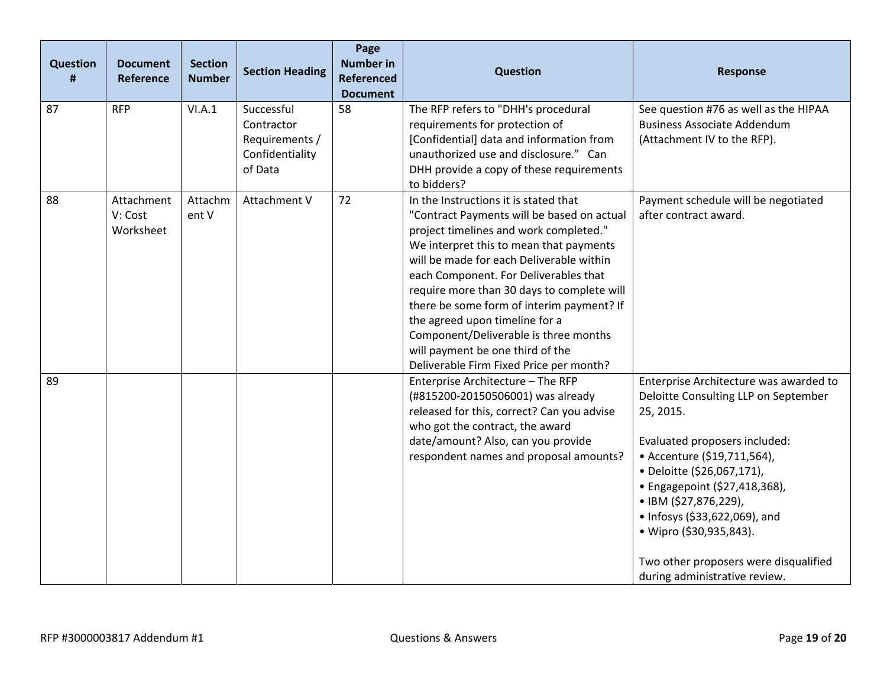| <b>Question</b><br>Ħ | <b>Document</b><br>Reference       | <b>Section</b><br><b>Number</b> | <b>Section Heading</b>                                                   | Page<br><b>Number in</b><br><b>Referenced</b><br><b>Document</b> | <b>Question</b>                                                                                                                                                                                                                                                                                                                                                                                                                                                                                                    | <b>Response</b>                                                                                                                                                                                                                                                                                                                                                                           |
|----------------------|------------------------------------|---------------------------------|--------------------------------------------------------------------------|------------------------------------------------------------------|--------------------------------------------------------------------------------------------------------------------------------------------------------------------------------------------------------------------------------------------------------------------------------------------------------------------------------------------------------------------------------------------------------------------------------------------------------------------------------------------------------------------|-------------------------------------------------------------------------------------------------------------------------------------------------------------------------------------------------------------------------------------------------------------------------------------------------------------------------------------------------------------------------------------------|
| 87                   | <b>RFP</b>                         | VI.A.1                          | Successful<br>Contractor<br>Requirements /<br>Confidentiality<br>of Data | 58                                                               | The RFP refers to "DHH's procedural<br>requirements for protection of<br>[Confidential] data and information from<br>unauthorized use and disclosure." Can<br>DHH provide a copy of these requirements<br>to bidders?                                                                                                                                                                                                                                                                                              | See question #76 as well as the HIPAA<br><b>Business Associate Addendum</b><br>(Attachment IV to the RFP).                                                                                                                                                                                                                                                                                |
| 88                   | Attachment<br>V: Cost<br>Worksheet | Attachm<br>ent V                | Attachment V                                                             | 72                                                               | In the Instructions it is stated that<br>"Contract Payments will be based on actual<br>project timelines and work completed."<br>We interpret this to mean that payments<br>will be made for each Deliverable within<br>each Component. For Deliverables that<br>require more than 30 days to complete will<br>there be some form of interim payment? If<br>the agreed upon timeline for a<br>Component/Deliverable is three months<br>will payment be one third of the<br>Deliverable Firm Fixed Price per month? | Payment schedule will be negotiated<br>after contract award.                                                                                                                                                                                                                                                                                                                              |
| 89                   |                                    |                                 |                                                                          |                                                                  | Enterprise Architecture - The RFP<br>(#815200-20150506001) was already<br>released for this, correct? Can you advise<br>who got the contract, the award<br>date/amount? Also, can you provide<br>respondent names and proposal amounts?                                                                                                                                                                                                                                                                            | Enterprise Architecture was awarded to<br>Deloitte Consulting LLP on September<br>25, 2015.<br>Evaluated proposers included:<br>• Accenture (\$19,711,564),<br>· Deloitte (\$26,067,171),<br>• Engagepoint (\$27,418,368),<br>• IBM (\$27,876,229),<br>• Infosys (\$33,622,069), and<br>• Wipro (\$30,935,843).<br>Two other proposers were disqualified<br>during administrative review. |